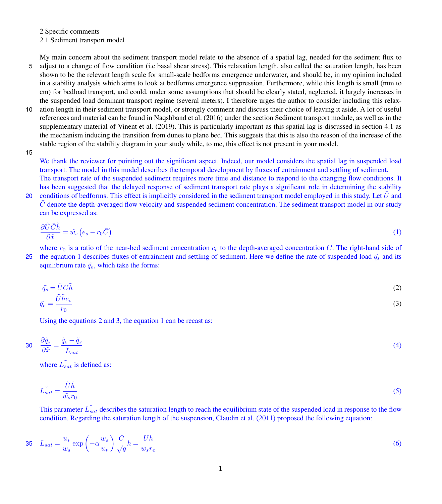2 Specific comments

2.1 Sediment transport model

My main concern about the sediment transport model relate to the absence of a spatial lag, needed for the sediment flux to

- 5 adjust to a change of flow condition (i.e basal shear stress). This relaxation length, also called the saturation length, has been shown to be the relevant length scale for small-scale bedforms emergence underwater, and should be, in my opinion included in a stability analysis which aims to look at bedforms emergence suppression. Furthermore, while this length is small (mm to cm) for bedload transport, and could, under some assumptions that should be clearly stated, neglected, it largely increases in the suspended load dominant transport regime (several meters). I therefore urges the author to consider including this relax-
- 10 ation length in their sediment transport model, or strongly comment and discuss their choice of leaving it aside. A lot of useful references and material can be found in Naqshband et al. (2016) under the section Sediment transport module, as well as in the supplementary material of Vinent et al. (2019). This is particularly important as this spatial lag is discussed in section 4.1 as the mechanism inducing the transition from dunes to plane bed. This suggests that this is also the reason of the increase of the stable region of the stability diagram in your study while, to me, this effect is not present in your model.
- 15

We thank the reviewer for pointing out the significant aspect. Indeed, our model considers the spatial lag in suspended load transport. The model in this model describes the temporal development by fluxes of entrainment and settling of sediment.

The transport rate of the suspended sediment requires more time and distance to respond to the changing flow conditions. It has been suggested that the delayed response of sediment transport rate plays a significant role in determining the stability 20 conditions of bedforms. This effect is implicitly considered in the sediment transport model employed in this study. Let  $U$  and  $C$  denote the depth-averaged flow velocity and suspended sediment concentration. The sediment transport model in our study can be expressed as:

<span id="page-0-0"></span>
$$
\frac{\partial \tilde{U}\bar{C}\tilde{h}}{\partial \tilde{x}} = \tilde{w}_s \left( e_s - r_0 \bar{C} \right) \tag{1}
$$

where  $r_0$  is a ratio of the near-bed sediment concentration  $c_b$  to the depth-averaged concentration C. The right-hand side of 25 the equation [1](#page-0-0) describes fluxes of entrainment and settling of sediment. Here we define the rate of suspended load  $\tilde{q}_s$  and its equilibrium rate  $\tilde{q}_e$ , which take the forms:

<span id="page-0-1"></span>
$$
\tilde{q}_s = \tilde{U}\bar{C}\tilde{h} \tag{2}
$$

$$
\tilde{q}_e = \frac{\tilde{U} \tilde{h} e_s}{r_0} \tag{3}
$$

Using the equations [2](#page-0-1) and [3,](#page-0-1) the equation [1](#page-0-0) can be recast as:

$$
30 \quad \frac{\partial \tilde{q}_s}{\partial \tilde{x}} = \frac{\tilde{q}_e - \tilde{q}_s}{\tilde{L}_{sat}} \tag{4}
$$

where  $\tilde{L_{sat}}$  is defined as:

$$
\tilde{L_{sat}} = \frac{\tilde{U}\tilde{h}}{\tilde{w}_s r_0} \tag{5}
$$

This parameter  $\tilde{L_{sat}}$  describes the saturation length to reach the equilibrium state of the suspended load in response to the flow condition. Regarding the saturation length of the suspension, Claudin et al. (2011) proposed the following equation:

$$
35 \quad L_{sat} = \frac{u_*}{w_s} \exp\left(-\alpha \frac{w_s}{u_*}\right) \frac{C}{\sqrt{g}} h = \frac{Uh}{w_s r_e} \tag{6}
$$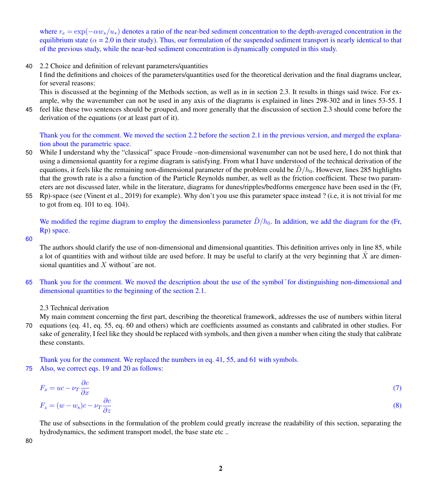where  $r_e = \exp(-\alpha w_s/u_*)$  denotes a ratio of the near-bed sediment concentration to the depth-averaged concentration in the equilibrium state ( $\alpha$  = 2.0 in their study). Thus, our formulation of the suspended sediment transport is nearly identical to that of the previous study, while the near-bed sediment concentration is dynamically computed in this study.

40 2.2 Choice and definition of relevant parameters/quantities

I find the definitions and choices of the parameters/quantities used for the theoretical derivation and the final diagrams unclear, for several reasons:

This is discussed at the beginning of the Methods section, as well as in in section 2.3. It results in things said twice. For example, why the wavenumber can not be used in any axis of the diagrams is explained in lines 298-302 and in lines 53-55. I

45 feel like these two sentences should be grouped, and more generally that the discussion of section 2.3 should come before the derivation of the equations (or at least part of it).

Thank you for the comment. We moved the section 2.2 before the section 2.1 in the previous version, and merged the explanation about the parametric space.

- 50 While I understand why the "classical" space Froude –non-dimensional wavenumber can not be used here, I do not think that using a dimensional quantity for a regime diagram is satisfying. From what I have understood of the technical derivation of the equations, it feels like the remaining non-dimensional parameter of the problem could be  $D/h_0$ . However, lines 285 highlights that the growth rate is a also a function of the Particle Reynolds number, as well as the friction coefficient. These two parameters are not discussed later, while in the literature, diagrams for dunes/ripples/bedforms emergence have been used in the (Fr,
- 55 Rp)-space (see (Vinent et al., 2019) for example). Why don't you use this parameter space instead ? (i.e, it is not trivial for me to got from eq. 101 to eq. 104).

We modified the regime diagram to employ the dimensionless parameter  $\tilde{D}/h_0$ . In addition, we add the diagram for the (Fr, Rp) space.

#### 60

The authors should clarify the use of non-dimensional and dimensional quantities. This definition arrives only in line 85, while a lot of quantities with and without tilde are used before. It may be useful to clarify at the very beginning that  $\overline{X}$  are dimensional quantities and  $X$  without $\tilde{a}$  are not.

65 Thank you for the comment. We moved the description about the use of the symbol˜for distinguishing non-dimensional and dimensional quantities to the beginning of the section 2.1.

2.3 Technical derivation

My main comment concerning the first part, describing the theoretical framework, addresses the use of numbers within literal 70 equations (eq. 41, eq. 55, eq. 60 and others) which are coefficients assumed as constants and calibrated in other studies. For sake of generality, I feel like they should be replaced with symbols, and then given a number when citing the study that calibrate these constants.

Thank you for the comment. We replaced the numbers in eq. 41, 55, and 61 with symbols. 75 Also, we correct eqs. 19 and 20 as follows:

$$
F_x = uc - \nu_T \frac{\partial c}{\partial x}
$$
  
\n
$$
F_z = (w - w_s)c - \nu_T \frac{\partial c}{\partial z}
$$
\n(3)

The use of subsections in the formulation of the problem could greatly increase the readability of this section, separating the hydrodynamics, the sediment transport model, the base state etc ..

80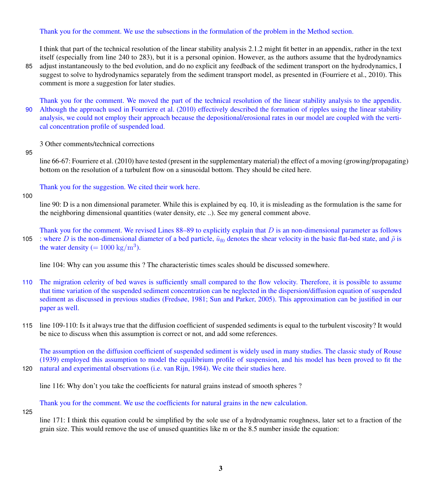# Thank you for the comment. We use the subsections in the formulation of the problem in the Method section.

I think that part of the technical resolution of the linear stability analysis 2.1.2 might fit better in an appendix, rather in the text itself (especially from line 240 to 283), but it is a personal opinion. However, as the authors assume that the hydrodynamics 85 adjust instantaneously to the bed evolution, and do no explicit any feedback of the sediment transport on the hydrodynamics, I

suggest to solve to hydrodynamics separately from the sediment transport model, as presented in (Fourriere et al., 2010). This comment is more a suggestion for later studies.

Thank you for the comment. We moved the part of the technical resolution of the linear stability analysis to the appendix. 90 Although the approach used in Fourriere et al. (2010) effectively described the formation of ripples using the linear stability analysis, we could not employ their approach because the depositional/erosional rates in our model are coupled with the vertical concentration profile of suspended load.

3 Other comments/technical corrections

#### 95

line 66-67: Fourriere et al. (2010) have tested (present in the supplementary material) the effect of a moving (growing/propagating) bottom on the resolution of a turbulent flow on a sinusoidal bottom. They should be cited here.

Thank you for the suggestion. We cited their work here.

## 100

line 90: D is a non dimensional parameter. While this is explained by eq. 10, it is misleading as the formulation is the same for the neighboring dimensional quantities (water density, etc ..). See my general comment above.

Thank you for the comment. We revised Lines  $88-89$  to explicitly explain that D is an non-dimensional parameter as follows 105 : where D is the non-dimensional diameter of a bed particle,  $\tilde{u}_{f0}$  denotes the shear velocity in the basic flat-bed state, and  $\tilde{\rho}$  is the water density (=  $1000 \text{ kg/m}^3$ ).

line 104: Why can you assume this ? The characteristic times scales should be discussed somewhere.

- 110 The migration celerity of bed waves is sufficiently small compared to the flow velocity. Therefore, it is possible to assume that time variation of the suspended sediment concentration can be neglected in the dispersion/diffusion equation of suspended sediment as discussed in previous studies (Fredsøe, 1981; Sun and Parker, 2005). This approximation can be justified in our paper as well.
- 115 line 109-110: Is it always true that the diffusion coefficient of suspended sediments is equal to the turbulent viscosity? It would be nice to discuss when this assumption is correct or not, and add some references.

The assumption on the diffusion coefficient of suspended sediment is widely used in many studies. The classic study of Rouse (1939) employed this assumption to model the equilibrium profile of suspension, and his model has been proved to fit the 120 natural and experimental observations (i.e. van Rijn, 1984). We cite their studies here.

line 116: Why don't you take the coefficients for natural grains instead of smooth spheres ?

Thank you for the comment. We use the coefficients for natural grains in the new calculation.

### 125

line 171: I think this equation could be simplified by the sole use of a hydrodynamic roughness, later set to a fraction of the grain size. This would remove the use of unused quantities like m or the 8.5 number inside the equation: